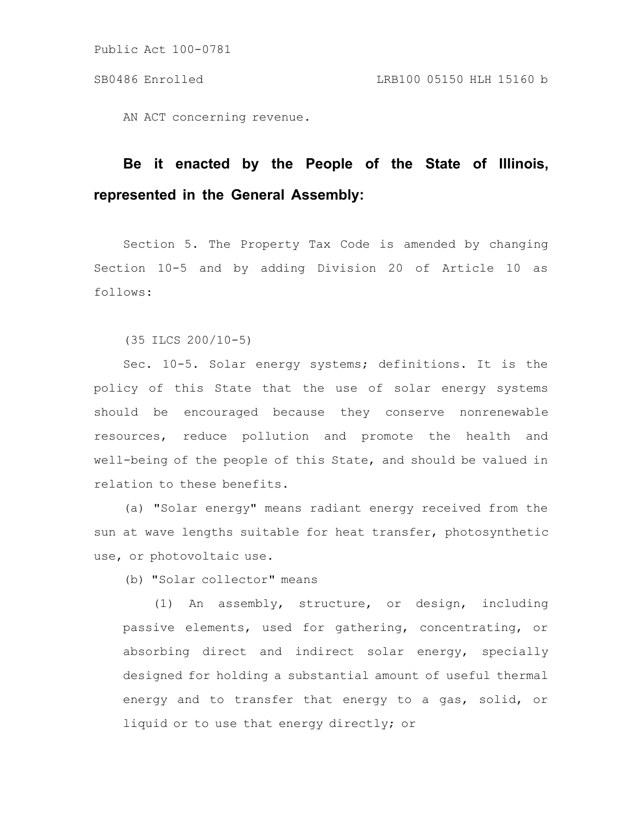AN ACT concerning revenue.

## **Be it enacted by the People of the State of Illinois, represented in the General Assembly:**

Section 5. The Property Tax Code is amended by changing Section 10-5 and by adding Division 20 of Article 10 as follows:

(35 ILCS 200/10-5)

Sec. 10-5. Solar energy systems; definitions. It is the policy of this State that the use of solar energy systems should be encouraged because they conserve nonrenewable resources, reduce pollution and promote the health and well-being of the people of this State, and should be valued in relation to these benefits.

(a) "Solar energy" means radiant energy received from the sun at wave lengths suitable for heat transfer, photosynthetic use, or photovoltaic use.

(b) "Solar collector" means

(1) An assembly, structure, or design, including passive elements, used for gathering, concentrating, or absorbing direct and indirect solar energy, specially designed for holding a substantial amount of useful thermal energy and to transfer that energy to a gas, solid, or liquid or to use that energy directly; or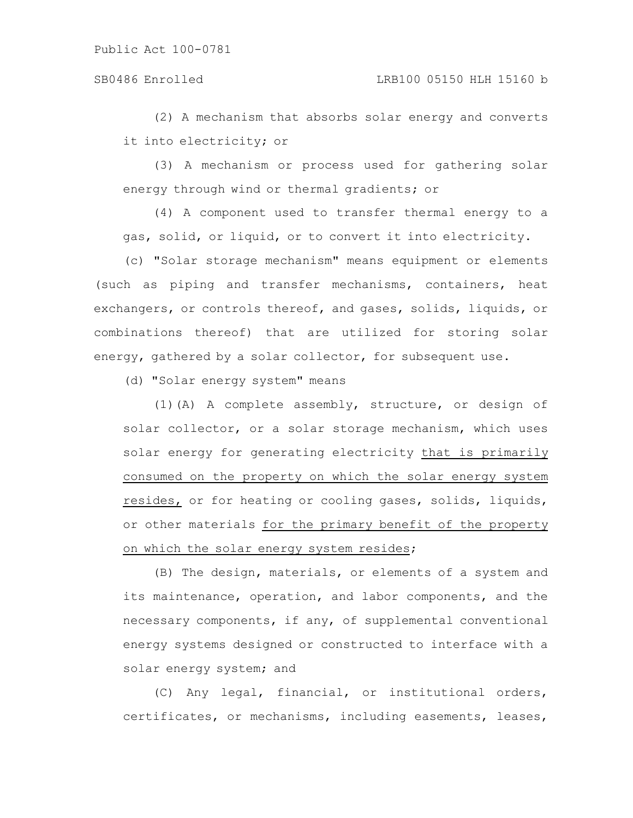(2) A mechanism that absorbs solar energy and converts it into electricity; or

(3) A mechanism or process used for gathering solar energy through wind or thermal gradients; or

(4) A component used to transfer thermal energy to a gas, solid, or liquid, or to convert it into electricity.

(c) "Solar storage mechanism" means equipment or elements (such as piping and transfer mechanisms, containers, heat exchangers, or controls thereof, and gases, solids, liquids, or combinations thereof) that are utilized for storing solar energy, gathered by a solar collector, for subsequent use.

(d) "Solar energy system" means

(1)(A) A complete assembly, structure, or design of solar collector, or a solar storage mechanism, which uses solar energy for generating electricity that is primarily consumed on the property on which the solar energy system resides, or for heating or cooling gases, solids, liquids, or other materials for the primary benefit of the property on which the solar energy system resides;

(B) The design, materials, or elements of a system and its maintenance, operation, and labor components, and the necessary components, if any, of supplemental conventional energy systems designed or constructed to interface with a solar energy system; and

(C) Any legal, financial, or institutional orders, certificates, or mechanisms, including easements, leases,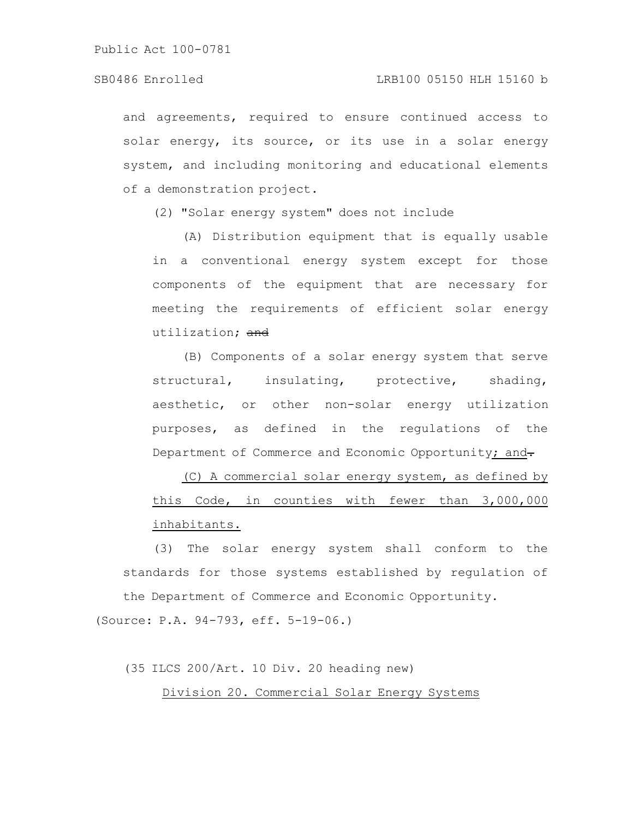and agreements, required to ensure continued access to solar energy, its source, or its use in a solar energy system, and including monitoring and educational elements of a demonstration project.

(2) "Solar energy system" does not include

(A) Distribution equipment that is equally usable in a conventional energy system except for those components of the equipment that are necessary for meeting the requirements of efficient solar energy utilization: and

(B) Components of a solar energy system that serve structural, insulating, protective, shading, aesthetic, or other non-solar energy utilization purposes, as defined in the regulations of the Department of Commerce and Economic Opportunity; and-

(C) A commercial solar energy system, as defined by this Code, in counties with fewer than 3,000,000 inhabitants.

(3) The solar energy system shall conform to the standards for those systems established by regulation of the Department of Commerce and Economic Opportunity.

(Source: P.A. 94-793, eff. 5-19-06.)

(35 ILCS 200/Art. 10 Div. 20 heading new)

Division 20. Commercial Solar Energy Systems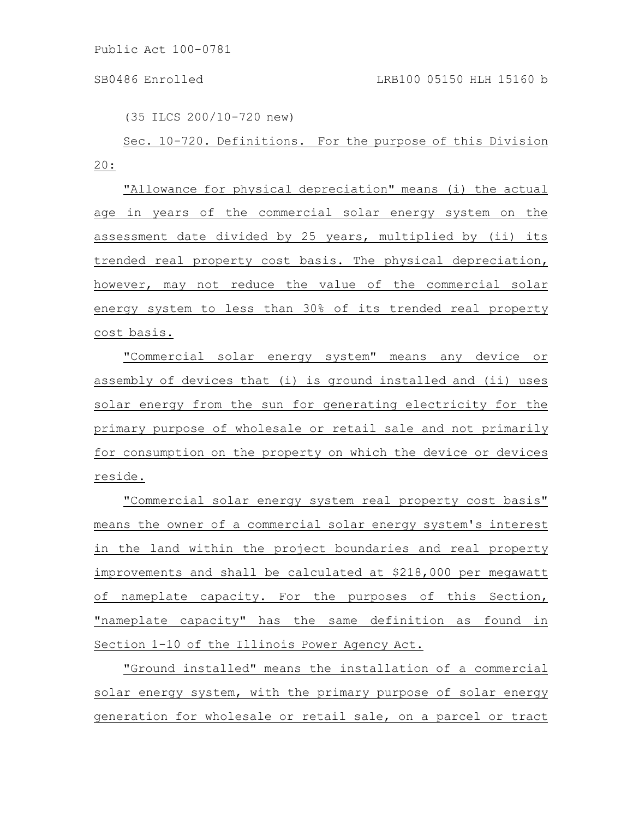(35 ILCS 200/10-720 new)

Sec. 10-720. Definitions. For the purpose of this Division 20:

"Allowance for physical depreciation" means (i) the actual age in years of the commercial solar energy system on the assessment date divided by 25 years, multiplied by (ii) its trended real property cost basis. The physical depreciation, however, may not reduce the value of the commercial solar energy system to less than 30% of its trended real property cost basis.

"Commercial solar energy system" means any device or assembly of devices that (i) is ground installed and (ii) uses solar energy from the sun for generating electricity for the primary purpose of wholesale or retail sale and not primarily for consumption on the property on which the device or devices reside.

"Commercial solar energy system real property cost basis" means the owner of a commercial solar energy system's interest in the land within the project boundaries and real property improvements and shall be calculated at \$218,000 per megawatt of nameplate capacity. For the purposes of this Section, "nameplate capacity" has the same definition as found in Section 1-10 of the Illinois Power Agency Act.

"Ground installed" means the installation of a commercial solar energy system, with the primary purpose of solar energy generation for wholesale or retail sale, on a parcel or tract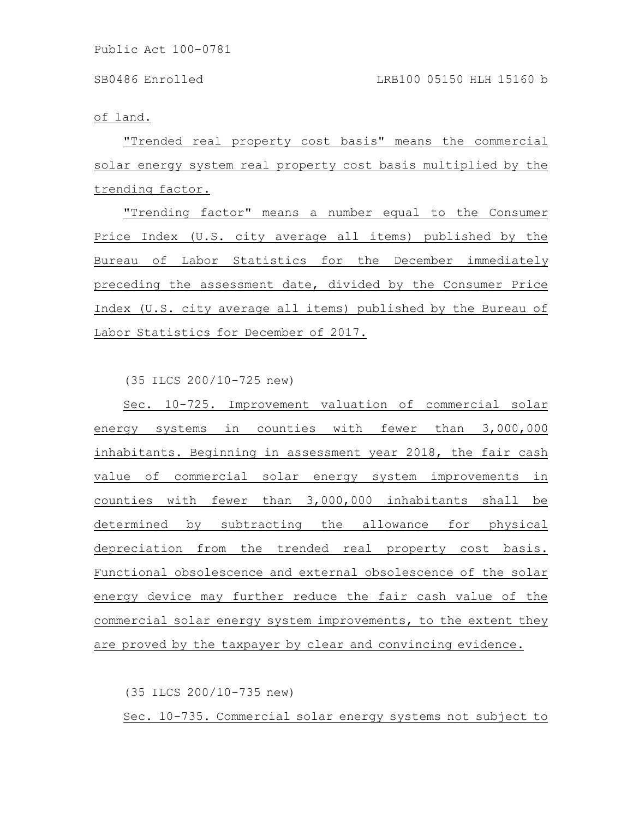of land.

"Trended real property cost basis" means the commercial solar energy system real property cost basis multiplied by the trending factor.

"Trending factor" means a number equal to the Consumer Price Index (U.S. city average all items) published by the Bureau of Labor Statistics for the December immediately preceding the assessment date, divided by the Consumer Price Index (U.S. city average all items) published by the Bureau of Labor Statistics for December of 2017.

(35 ILCS 200/10-725 new)

Sec. 10-725. Improvement valuation of commercial solar energy systems in counties with fewer than 3,000,000 inhabitants. Beginning in assessment year 2018, the fair cash value of commercial solar energy system improvements in counties with fewer than 3,000,000 inhabitants shall be determined by subtracting the allowance for physical depreciation from the trended real property cost basis. Functional obsolescence and external obsolescence of the solar energy device may further reduce the fair cash value of the commercial solar energy system improvements, to the extent they are proved by the taxpayer by clear and convincing evidence.

(35 ILCS 200/10-735 new)

Sec. 10-735. Commercial solar energy systems not subject to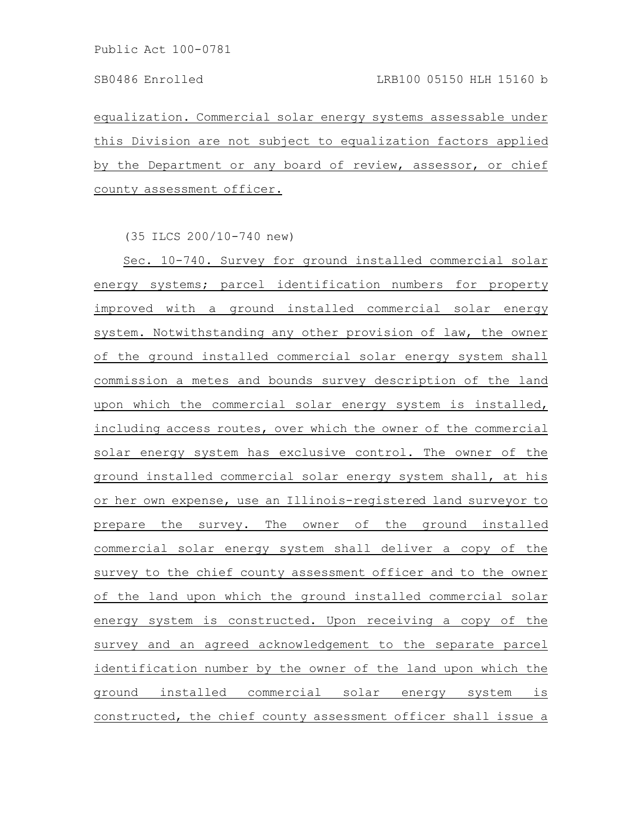equalization. Commercial solar energy systems assessable under this Division are not subject to equalization factors applied by the Department or any board of review, assessor, or chief county assessment officer.

(35 ILCS 200/10-740 new)

Sec. 10-740. Survey for ground installed commercial solar energy systems; parcel identification numbers for property improved with a ground installed commercial solar energy system. Notwithstanding any other provision of law, the owner of the ground installed commercial solar energy system shall commission a metes and bounds survey description of the land upon which the commercial solar energy system is installed, including access routes, over which the owner of the commercial solar energy system has exclusive control. The owner of the ground installed commercial solar energy system shall, at his or her own expense, use an Illinois-registered land surveyor to prepare the survey. The owner of the ground installed commercial solar energy system shall deliver a copy of the survey to the chief county assessment officer and to the owner of the land upon which the ground installed commercial solar energy system is constructed. Upon receiving a copy of the survey and an agreed acknowledgement to the separate parcel identification number by the owner of the land upon which the ground installed commercial solar energy system is constructed, the chief county assessment officer shall issue a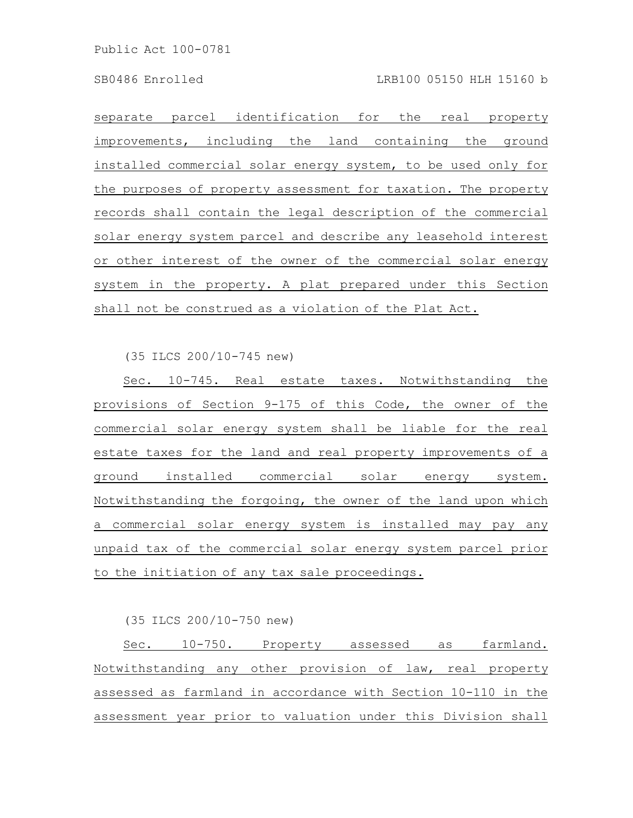separate parcel identification for the real property improvements, including the land containing the ground installed commercial solar energy system, to be used only for the purposes of property assessment for taxation. The property records shall contain the legal description of the commercial solar energy system parcel and describe any leasehold interest or other interest of the owner of the commercial solar energy system in the property. A plat prepared under this Section shall not be construed as a violation of the Plat Act.

(35 ILCS 200/10-745 new)

Sec. 10-745. Real estate taxes. Notwithstanding the provisions of Section 9-175 of this Code, the owner of the commercial solar energy system shall be liable for the real estate taxes for the land and real property improvements of a ground installed commercial solar energy system. Notwithstanding the forgoing, the owner of the land upon which a commercial solar energy system is installed may pay any unpaid tax of the commercial solar energy system parcel prior to the initiation of any tax sale proceedings.

(35 ILCS 200/10-750 new)

Sec. 10-750. Property assessed as farmland. Notwithstanding any other provision of law, real property assessed as farmland in accordance with Section 10-110 in the assessment year prior to valuation under this Division shall